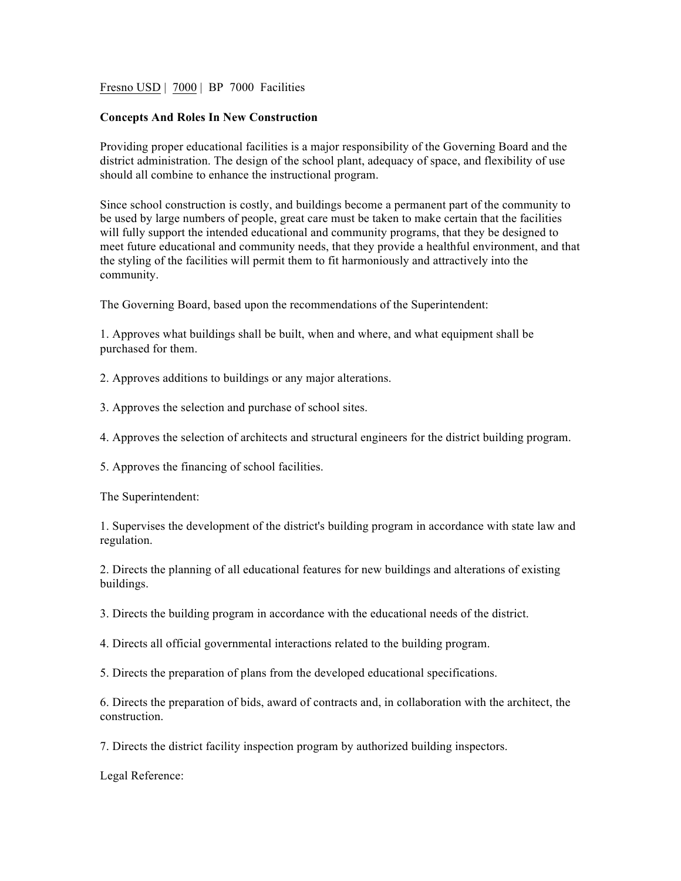Fresno USD | 7000 | BP 7000 Facilities

## **Concepts And Roles In New Construction**

Providing proper educational facilities is a major responsibility of the Governing Board and the district administration. The design of the school plant, adequacy of space, and flexibility of use should all combine to enhance the instructional program.

Since school construction is costly, and buildings become a permanent part of the community to be used by large numbers of people, great care must be taken to make certain that the facilities will fully support the intended educational and community programs, that they be designed to meet future educational and community needs, that they provide a healthful environment, and that the styling of the facilities will permit them to fit harmoniously and attractively into the community.

The Governing Board, based upon the recommendations of the Superintendent:

1. Approves what buildings shall be built, when and where, and what equipment shall be purchased for them.

2. Approves additions to buildings or any major alterations.

3. Approves the selection and purchase of school sites.

4. Approves the selection of architects and structural engineers for the district building program.

5. Approves the financing of school facilities.

The Superintendent:

1. Supervises the development of the district's building program in accordance with state law and regulation.

2. Directs the planning of all educational features for new buildings and alterations of existing buildings.

3. Directs the building program in accordance with the educational needs of the district.

4. Directs all official governmental interactions related to the building program.

5. Directs the preparation of plans from the developed educational specifications.

6. Directs the preparation of bids, award of contracts and, in collaboration with the architect, the construction.

7. Directs the district facility inspection program by authorized building inspectors.

Legal Reference: